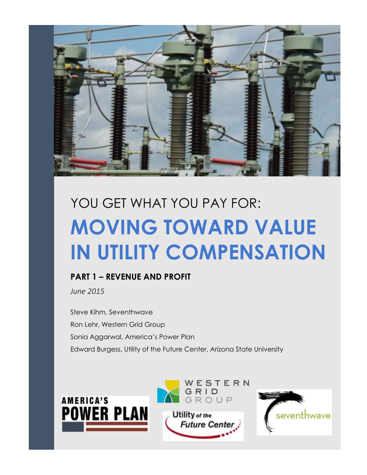

# **MOVING TOWARD VALUE IN UTILITY COMPENSATION** YOU GET WHAT YOU PAY FOR:

## **PART 1 – REVENUE AND PROFIT**

*June 2015*

Steve Kihm, Seventhwave Ron Lehr, Western Grid Group Sonia Aggarwal, America's Power Plan Edward Burgess, Utility of the Future Center, Arizona State University





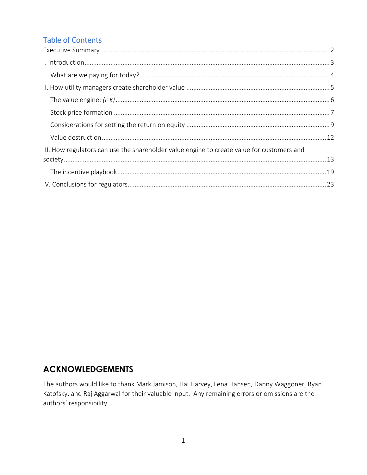## **Table of Contents**

| III. How regulators can use the shareholder value engine to create value for customers and |  |
|--------------------------------------------------------------------------------------------|--|
|                                                                                            |  |
|                                                                                            |  |
|                                                                                            |  |

## **ACKNOWLEDGEMENTS**

<span id="page-1-0"></span>The authors would like to thank Mark Jamison, Hal Harvey, Lena Hansen, Danny Waggoner, Ryan Katofsky, and Raj Aggarwal for their valuable input. Any remaining errors or omissions are the authors' responsibility.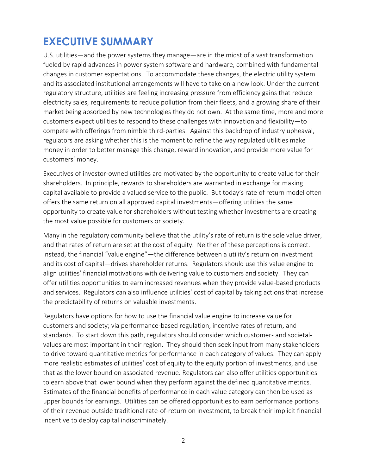## **EXECUTIVE SUMMARY**

U.S. utilities—and the power systems they manage—are in the midst of a vast transformation fueled by rapid advances in power system software and hardware, combined with fundamental changes in customer expectations. To accommodate these changes, the electric utility system and its associated institutional arrangements will have to take on a new look. Under the current regulatory structure, utilities are feeling increasing pressure from efficiency gains that reduce electricity sales, requirements to reduce pollution from their fleets, and a growing share of their market being absorbed by new technologies they do not own. At the same time, more and more customers expect utilities to respond to these challenges with innovation and flexibility—to compete with offerings from nimble third-parties. Against this backdrop of industry upheaval, regulators are asking whether this is the moment to refine the way regulated utilities make money in order to better manage this change, reward innovation, and provide more value for customers' money.

Executives of investor-owned utilities are motivated by the opportunity to create value for their shareholders. In principle, rewards to shareholders are warranted in exchange for making capital available to provide a valued service to the public. But today's rate of return model often offers the same return on all approved capital investments—offering utilities the same opportunity to create value for shareholders without testing whether investments are creating the most value possible for customers or society.

Many in the regulatory community believe that the utility's rate of return is the sole value driver, and that rates of return are set at the cost of equity. Neither of these perceptions is correct. Instead, the financial "value engine"—the difference between a utility's return on investment and its cost of capital—drives shareholder returns. Regulators should use this value engine to align utilities' financial motivations with delivering value to customers and society. They can offer utilities opportunities to earn increased revenues when they provide value-based products and services. Regulators can also influence utilities' cost of capital by taking actions that increase the predictability of returns on valuable investments.

Regulators have options for how to use the financial value engine to increase value for customers and society; via performance-based regulation, incentive rates of return, and standards. To start down this path, regulators should consider which customer- and societalvalues are most important in their region. They should then seek input from many stakeholders to drive toward quantitative metrics for performance in each category of values. They can apply more realistic estimates of utilities' cost of equity to the equity portion of investments, and use that as the lower bound on associated revenue. Regulators can also offer utilities opportunities to earn above that lower bound when they perform against the defined quantitative metrics. Estimates of the financial benefits of performance in each value category can then be used as upper bounds for earnings. Utilities can be offered opportunities to earn performance portions of their revenue outside traditional rate-of-return on investment, to break their implicit financial incentive to deploy capital indiscriminately.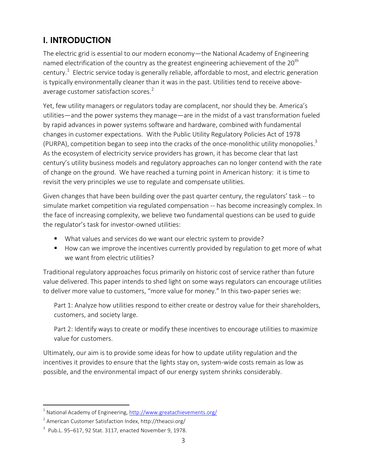## <span id="page-3-0"></span>**I. INTRODUCTION**

The electric grid is essential to our modern economy—the National Academy of Engineering named electrification of the country as the greatest engineering achievement of the  $20<sup>th</sup>$ century.<sup>1</sup> Electric service today is generally reliable, affordable to most, and electric generation is typically environmentally cleaner than it was in the past. Utilities tend to receive aboveaverage customer satisfaction scores.<sup>2</sup>

Yet, few utility managers or regulators today are complacent, nor should they be. America's utilities—and the power systems they manage—are in the midst of a vast transformation fueled by rapid advances in power systems software and hardware, combined with fundamental changes in customer expectations. With the Public Utility Regulatory Policies Act of 1978 (PURPA), competition began to seep into the cracks of the once-monolithic utility monopolies.<sup>3</sup> As the ecosystem of electricity service providers has grown, it has become clear that last century's utility business models and regulatory approaches can no longer contend with the rate of change on the ground. We have reached a turning point in American history: it is time to revisit the very principles we use to regulate and compensate utilities.

Given changes that have been building over the past quarter century, the regulators' task -- to simulate market competition via regulated compensation -- has become increasingly complex. In the face of increasing complexity, we believe two fundamental questions can be used to guide the regulator's task for investor-owned utilities:

- What values and services do we want our electric system to provide?
- How can we improve the incentives currently provided by regulation to get more of what we want from electric utilities?

Traditional regulatory approaches focus primarily on historic cost of service rather than future value delivered. This paper intends to shed light on some ways regulators can encourage utilities to deliver more value to customers, "more value for money." In this two-paper series we:

Part 1: Analyze how utilities respond to either create or destroy value for their shareholders, customers, and society large.

Part 2: Identify ways to create or modify these incentives to encourage utilities to maximize value for customers.

Ultimately, our aim is to provide some ideas for how to update utility regulation and the incentives it provides to ensure that the lights stay on, system-wide costs remain as low as possible, and the environmental impact of our energy system shrinks considerably.

<sup>&</sup>lt;sup>1</sup> National Academy of Engineering,<http://www.greatachievements.org/>

<sup>&</sup>lt;sup>2</sup> American Customer Satisfaction Index, http://theacsi.org/

 $3$  [Pub.L. 95](http://legislink.org/us/pl-95-617)–617, 92 [Stat.](http://en.wikipedia.org/wiki/United_States_Statutes_at_Large) [3117,](http://legislink.org/us/stat-92-3117) enacted November 9, 1978.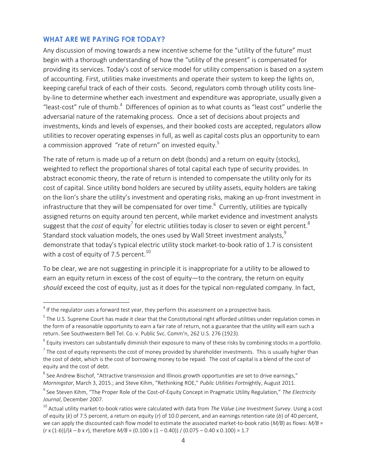#### <span id="page-4-0"></span>**WHAT ARE WE PAYING FOR TODAY?**

Any discussion of moving towards a new incentive scheme for the "utility of the future" must begin with a thorough understanding of how the "utility of the present" is compensated for providing its services. Today's cost of service model for utility compensation is based on a system of accounting. First, utilities make investments and operate their system to keep the lights on, keeping careful track of each of their costs. Second, regulators comb through utility costs lineby-line to determine whether each investment and expenditure was appropriate, usually given a "least-cost" rule of thumb. $4$  Differences of opinion as to what counts as "least cost" underlie the adversarial nature of the ratemaking process. Once a set of decisions about projects and investments, kinds and levels of expenses, and their booked costs are accepted, regulators allow utilities to recover operating expenses in full, as well as capital costs plus an opportunity to earn a commission approved "rate of return" on invested equity.<sup>5</sup>

The rate of return is made up of a return on debt (bonds) and a return on equity (stocks), weighted to reflect the proportional shares of total capital each type of security provides. In abstract economic theory, the rate of return is intended to compensate the utility only for its cost of capital. Since utility bond holders are secured by utility assets, equity holders are taking on the lion's share the utility's investment and operating risks, making an up-front investment in infrastructure that they will be compensated for over time.<sup>6</sup> Currently, utilities are typically assigned returns on equity around ten percent, while market evidence and investment analysts suggest that the *cost* of equity<sup>7</sup> for electric utilities today is closer to seven or eight percent. $^8$ Standard stock valuation models, the ones used by Wall Street investment analysts.<sup>9</sup> demonstrate that today's typical electric utility stock market-to-book ratio of 1.7 is consistent with a cost of equity of 7.5 percent. $^{10}$ 

To be clear, we are not suggesting in principle it is inappropriate for a utility to be allowed to earn an equity return in excess of the cost of equity—to the contrary, the return on equity *should* exceed the cost of equity, just as it does for the typical non-regulated company. In fact,

 4 If the regulator uses a forward test year, they perform this assessment on a prospective basis.

 $^5$  The U.S. Supreme Court has made it clear that the Constitutional right afforded utilities under regulation comes in the form of a reasonable opportunity to earn a fair rate of return, not a guarantee that the utility will earn such a return. See Southwestern Bell Tel. Co. v. Public Svc. Comm'n, 262 U.S. 276 (1923).

 $^6$  Equity investors can substantially diminish their exposure to many of these risks by combining stocks in a portfolio.

 $^7$  The cost of equity represents the cost of money provided by shareholder investments. This is usually higher than the cost of debt, which is the cost of borrowing money to be repaid. The cost of capital is a blend of the cost of equity and the cost of debt.

 $^8$  See Andrew Bischof, "Attractive transmission and Illinois growth opportunities are set to drive earnings," *Morningstar*, March 3, 2015.; and Steve Kihm, "Rethinking ROE," *Public Utilities Fortni*ghtly, August 2011.

<sup>9</sup> See Steven Kihm, "The Proper Role of the Cost-of-Equity Concept in Pragmatic Utility Regulation," *The Electricity Journal*, December 2007.

<sup>10</sup> Actual utility market-to-book ratios were calculated with data from *The Value Line Investment Survey*. Using a cost of equity (*k*) of 7.5 percent, a return on equity (*r*) of 10.0 percent, and an earnings retention rate (*b*) of 40 percent, we can apply the discounted cash flow model to estimate the associated market-to-book ratio (*M/B*) as flows: *M/B* = (*r* x (1-*b*))/(*k* – *b* x *r*), therefore *M/B* = (0.100 x (1 – 0.40)) / (0.075 – 0.40 x 0.100) = 1.7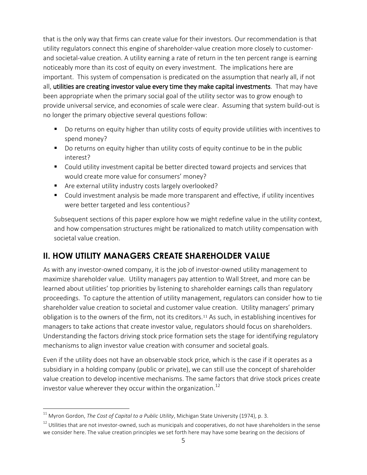that is the only way that firms can create value for their investors. Our recommendation is that utility regulators connect this engine of shareholder-value creation more closely to customerand societal-value creation. A utility earning a rate of return in the ten percent range is earning noticeably more than its cost of equity on every investment. The implications here are important. This system of compensation is predicated on the assumption that nearly all, if not all, utilities are creating investor value every time they make capital investments. That may have been appropriate when the primary social goal of the utility sector was to grow enough to provide universal service, and economies of scale were clear. Assuming that system build-out is no longer the primary objective several questions follow:

- Do returns on equity higher than utility costs of equity provide utilities with incentives to spend money?
- Do returns on equity higher than utility costs of equity continue to be in the public interest?
- Could utility investment capital be better directed toward projects and services that would create more value for consumers' money?
- Are external utility industry costs largely overlooked?
- Could investment analysis be made more transparent and effective, if utility incentives were better targeted and less contentious?

Subsequent sections of this paper explore how we might redefine value in the utility context, and how compensation structures might be rationalized to match utility compensation with societal value creation.

## <span id="page-5-0"></span>**II. HOW UTILITY MANAGERS CREATE SHAREHOLDER VALUE**

As with any investor-owned company, it is the job of investor-owned utility management to maximize shareholder value. Utility managers pay attention to Wall Street, and more can be learned about utilities' top priorities by listening to shareholder earnings calls than regulatory proceedings. To capture the attention of utility management, regulators can consider how to tie shareholder value creation to societal and customer value creation. Utility managers' primary obligation is to the owners of the firm, not its creditors.<sup>11</sup> As such, in establishing incentives for managers to take actions that create investor value, regulators should focus on shareholders. Understanding the factors driving stock price formation sets the stage for identifying regulatory mechanisms to align investor value creation with consumer and societal goals.

Even if the utility does not have an observable stock price, which is the case if it operates as a subsidiary in a holding company (public or private), we can still use the concept of shareholder value creation to develop incentive mechanisms. The same factors that drive stock prices create investor value wherever they occur within the organization.<sup>12</sup>

<sup>&</sup>lt;sup>11</sup> Myron Gordon*, The Cost of Capital to a Public Utility,* Michigan State University (1974), p. 3.

 $12$  Utilities that are not investor-owned, such as municipals and cooperatives, do not have shareholders in the sense we consider here. The value creation principles we set forth here may have some bearing on the decisions of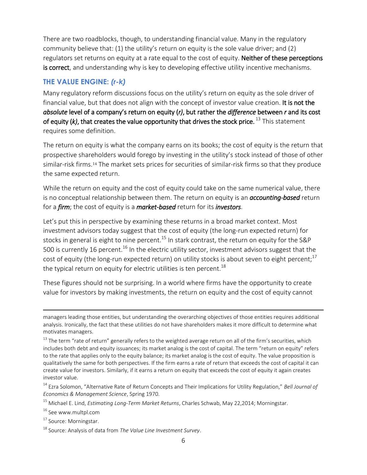There are two roadblocks, though, to understanding financial value. Many in the regulatory community believe that: (1) the utility's return on equity is the sole value driver; and (2) regulators set returns on equity at a rate equal to the cost of equity. Neither of these perceptions is correct, and understanding why is key to developing effective utility incentive mechanisms.

#### <span id="page-6-0"></span>**THE VALUE ENGINE:** *(r-k)*

Many regulatory reform discussions focus on the utility's return on equity as the sole driver of financial value, but that does not align with the concept of investor value creation. It is not the *absolute* level of a company's return on equity (*r)*, but rather the *difference* between *r* and its cost of equity (*k*), that creates the value opportunity that drives the stock price.<sup>13</sup> This statement requires some definition.

The return on equity is what the company earns on its books; the cost of equity is the return that prospective shareholders would forego by investing in the utility's stock instead of those of other similar-risk firms.<sup>14</sup> The market sets prices for securities of similar-risk firms so that they produce the same expected return.

While the return on equity and the cost of equity could take on the same numerical value, there is no conceptual relationship between them. The return on equity is an *accounting-based* return for a *firm*; the cost of equity is a *market-based* return for its *investors*.

Let's put this in perspective by examining these returns in a broad market context. Most investment advisors today suggest that the cost of equity (the long-run expected return) for stocks in general is eight to nine percent.<sup>15</sup> In stark contrast, the return on equity for the S&P 500 is currently 16 percent.<sup>16</sup> In the electric utility sector, investment advisors suggest that the cost of equity (the long-run expected return) on utility stocks is about seven to eight percent;<sup>17</sup> the typical return on equity for electric utilities is ten percent.<sup>18</sup>

These figures should not be surprising. In a world where firms have the opportunity to create value for investors by making investments, the return on equity and the cost of equity cannot

<sup>15</sup> Michael E. Lind, *Estimating Long-Term Market Returns*, Charles Schwab, May 22,2014; Morningstar.

<sup>16</sup> See www.multpl.com

 $\overline{a}$ 

<sup>17</sup> Source: Morningstar.

managers leading those entities, but understanding the overarching objectives of those entities requires additional analysis. Ironically, the fact that these utilities do not have shareholders makes it more difficult to determine what motivates managers.

<sup>&</sup>lt;sup>13</sup> The term "rate of return" generally refers to the weighted average return on all of the firm's securities, which includes both debt and equity issuances; its market analog is the cost of capital. The term "return on equity" refers to the rate that applies only to the equity balance; its market analog is the cost of equity. The value proposition is qualitatively the same for both perspectives. If the firm earns a rate of return that exceeds the cost of capital it can create value for investors. Similarly, if it earns a return on equity that exceeds the cost of equity it again creates investor value.

<sup>14</sup> Ezra Solomon, "Alternative Rate of Return Concepts and Their Implications for Utility Regulation," *Bell Journal of Economics & Management Science*, Spring 1970.

<sup>18</sup> Source: Analysis of data from *The Value Line Investment Survey*.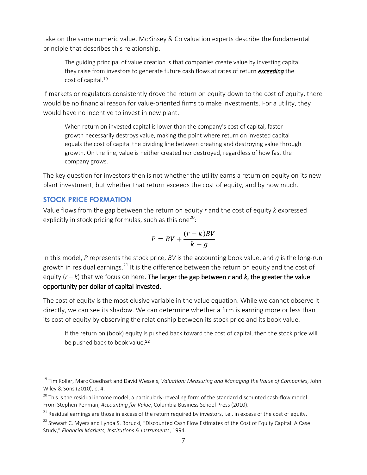take on the same numeric value. McKinsey & Co valuation experts describe the fundamental principle that describes this relationship.

The guiding principal of value creation is that companies create value by investing capital they raise from investors to generate future cash flows at rates of return *exceeding* the cost of capital.<sup>19</sup>

If markets or regulators consistently drove the return on equity down to the cost of equity, there would be no financial reason for value-oriented firms to make investments. For a utility, they would have no incentive to invest in new plant.

When return on invested capital is lower than the company's cost of capital, faster growth necessarily destroys value, making the point where return on invested capital equals the cost of capital the dividing line between creating and destroying value through growth. On the line, value is neither created nor destroyed, regardless of how fast the company grows.

The key question for investors then is not whether the utility earns a return on equity on its new plant investment, but whether that return exceeds the cost of equity, and by how much.

#### <span id="page-7-0"></span>**STOCK PRICE FORMATION**

 $\overline{a}$ 

Value flows from the gap between the return on equity *r* and the cost of equity *k* expressed explicitly in stock pricing formulas, such as this one $^{20}\!$ :

$$
P = BV + \frac{(r-k)BV}{k-g}
$$

In this model, *P* represents the stock price, *BV* is the accounting book value, and *g* is the long-run growth in residual earnings.<sup>21</sup> It is the difference between the return on equity and the cost of equity  $(r - k)$  that we focus on here. The larger the gap between *r* and *k*, the greater the value opportunity per dollar of capital invested.

The cost of equity is the most elusive variable in the value equation. While we cannot observe it directly, we can see its shadow. We can determine whether a firm is earning more or less than its cost of equity by observing the relationship between its stock price and its book value.

If the return on (book) equity is pushed back toward the cost of capital, then the stock price will be pushed back to book value.<sup>22</sup>

<sup>&</sup>lt;sup>19</sup> Tim Koller, Marc Goedhart and David Wessels, *Valuation: Measuring and Managing the Value of Companies,* John Wiley & Sons (2010), p. 4.

 $^{20}$  This is the residual income model, a particularly-revealing form of the standard discounted cash-flow model. From Stephen Penman, *Accounting for Value*, Columbia Business School Press (2010).

 $21$  Residual earnings are those in excess of the return required by investors, i.e., in excess of the cost of equity.

<sup>&</sup>lt;sup>22</sup> Stewart C. Myers and Lynda S. Borucki, "Discounted Cash Flow Estimates of the Cost of Equity Capital: A Case Study," *Financial Markets, Institutions & Instruments*, 1994.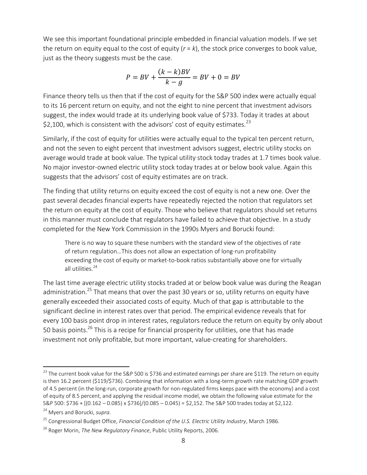We see this important foundational principle embedded in financial valuation models. If we set the return on equity equal to the cost of equity (*r* = *k*), the stock price converges to book value, just as the theory suggests must be the case.

$$
P = BV + \frac{(k-k)BV}{k-g} = BV + 0 = BV
$$

Finance theory tells us then that if the cost of equity for the S&P 500 index were actually equal to its 16 percent return on equity, and not the eight to nine percent that investment advisors suggest, the index would trade at its underlying book value of \$733. Today it trades at about \$2,100, which is consistent with the advisors' cost of equity estimates. $^{23}$ 

Similarly, if the cost of equity for utilities were actually equal to the typical ten percent return, and not the seven to eight percent that investment advisors suggest, electric utility stocks on average would trade at book value. The typical utility stock today trades at 1.7 times book value. No major investor-owned electric utility stock today trades at or below book value. Again this suggests that the advisors' cost of equity estimates are on track.

The finding that utility returns on equity exceed the cost of equity is not a new one. Over the past several decades financial experts have repeatedly rejected the notion that regulators set the return on equity at the cost of equity. Those who believe that regulators should set returns in this manner must conclude that regulators have failed to achieve that objective. In a study completed for the New York Commission in the 1990s Myers and Borucki found:

There is no way to square these numbers with the standard view of the objectives of rate of return regulation…This does not allow an expectation of long-run profitability exceeding the cost of equity or market-to-book ratios substantially above one for virtually all utilities.<sup>24</sup>

The last time average electric utility stocks traded at or below book value was during the Reagan administration.<sup>25</sup> That means that over the past 30 years or so, utility returns on equity have generally exceeded their associated costs of equity. Much of that gap is attributable to the significant decline in interest rates over that period. The empirical evidence reveals that for every 100 basis point drop in interest rates, regulators reduce the return on equity by only about 50 basis points.<sup>26</sup> This is a recipe for financial prosperity for utilities, one that has made investment not only profitable, but more important, value-creating for shareholders.

 $^{23}$  The current book value for the S&P 500 is \$736 and estimated earnings per share are \$119. The return on equity is then 16.2 percent (\$119/\$736). Combining that information with a long-term growth rate matching GDP growth of 4.5 percent (in the long-run, corporate growth for non-regulated firms keeps pace with the economy) and a cost of equity of 8.5 percent, and applying the residual income model, we obtain the following value estimate for the S&P 500: \$736 + [(0.162 – 0.085) x \$736]/(0.085 – 0.045) = \$2,152. The S&P 500 trades today at \$2,122.

<sup>24</sup> Myers and Borucki, *supra*.

<sup>25</sup> Congressional Budget Office, *Financial Condition of the U.S. Electric Utility Industry*, March 1986.

<sup>26</sup> Roger Morin, *The New Regulatory Finance*, Public Utility Reports, 2006.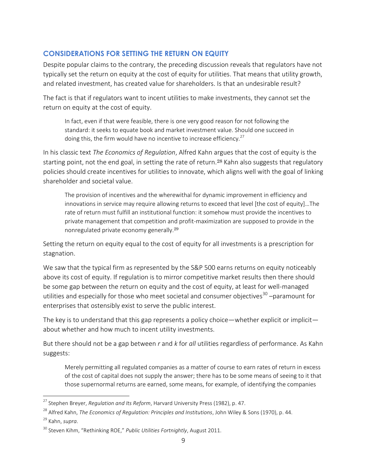#### <span id="page-9-0"></span>**CONSIDERATIONS FOR SETTING THE RETURN ON EQUITY**

Despite popular claims to the contrary, the preceding discussion reveals that regulators have not typically set the return on equity at the cost of equity for utilities. That means that utility growth, and related investment, has created value for shareholders. Is that an undesirable result?

The fact is that if regulators want to incent utilities to make investments, they cannot set the return on equity at the cost of equity.

In fact, even if that were feasible, there is one very good reason for not following the standard: it seeks to equate book and market investment value. Should one succeed in doing this, the firm would have no incentive to increase efficiency. $^{27}$ 

In his classic text *The Economics of Regulation*, Alfred Kahn argues that the cost of equity is the starting point, not the end goal, in setting the rate of return.<sup>28</sup> Kahn also suggests that regulatory policies should create incentives for utilities to innovate, which aligns well with the goal of linking shareholder and societal value.

The provision of incentives and the wherewithal for dynamic improvement in efficiency and innovations in service may require allowing returns to exceed that level [the cost of equity]…The rate of return must fulfill an institutional function: it somehow must provide the incentives to private management that competition and profit-maximization are supposed to provide in the nonregulated private economy generally.<sup>29</sup>

Setting the return on equity equal to the cost of equity for all investments is a prescription for stagnation.

We saw that the typical firm as represented by the S&P 500 earns returns on equity noticeably above its cost of equity. If regulation is to mirror competitive market results then there should be some gap between the return on equity and the cost of equity, at least for well-managed utilities and especially for those who meet societal and consumer objectives<sup>30</sup> –paramount for enterprises that ostensibly exist to serve the public interest.

The key is to understand that this gap represents a policy choice—whether explicit or implicit about whether and how much to incent utility investments.

But there should not be a gap between *r* and *k* for *all* utilities regardless of performance. As Kahn suggests:

Merely permitting all regulated companies as a matter of course to earn rates of return in excess of the cost of capital does not supply the answer; there has to be some means of seeing to it that those supernormal returns are earned, some means, for example, of identifying the companies

<sup>27</sup> Stephen Breyer, *Regulation and Its Reform*, Harvard University Press (1982), p. 47.

<sup>28</sup> Alfred Kahn, *The Economics of Regulation: Principles and Institutions*, John Wiley & Sons (1970), p. 44.

<sup>29</sup> Kahn, *supra*.

<sup>30</sup> Steven Kihm, "Rethinking ROE," *Public Utilities Fortnightly*, August 2011.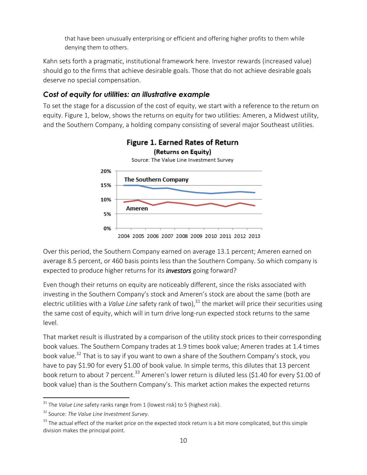that have been unusually enterprising or efficient and offering higher profits to them while denying them to others.

Kahn sets forth a pragmatic, institutional framework here. Investor rewards (increased value) should go to the firms that achieve desirable goals. Those that do not achieve desirable goals deserve no special compensation.

#### *Cost of equity for utilities: an illustrative example*

To set the stage for a discussion of the cost of equity, we start with a reference to the return on equity. Figure 1, below, shows the returns on equity for two utilities: Ameren, a Midwest utility, and the Southern Company, a holding company consisting of several major Southeast utilities.



Over this period, the Southern Company earned on average 13.1 percent; Ameren earned on average 8.5 percent, or 460 basis points less than the Southern Company. So which company is expected to produce higher returns for its *investors* going forward?

Even though their returns on equity are noticeably different, since the risks associated with investing in the Southern Company's stock and Ameren's stock are about the same (both are electric utilities with a *Value Line* safety rank of two),<sup>31</sup> the market will price their securities using the same cost of equity, which will in turn drive long-run expected stock returns to the same level.

That market result is illustrated by a comparison of the utility stock prices to their corresponding book values. The Southern Company trades at 1.9 times book value; Ameren trades at 1.4 times book value.<sup>32</sup> That is to say if you want to own a share of the Southern Company's stock, you have to pay \$1.90 for every \$1.00 of book value. In simple terms, this dilutes that 13 percent book return to about 7 percent.<sup>33</sup> Ameren's lower return is diluted less (\$1.40 for every \$1.00 of book value) than is the Southern Company's. This market action makes the expected returns

<sup>&</sup>lt;sup>31</sup> The *Value Line* safety ranks range from 1 (lowest risk) to 5 (highest risk).

<sup>32</sup> Source: *The Value Line Investment Survey*.

 $33$  The actual effect of the market price on the expected stock return is a bit more complicated, but this simple division makes the principal point.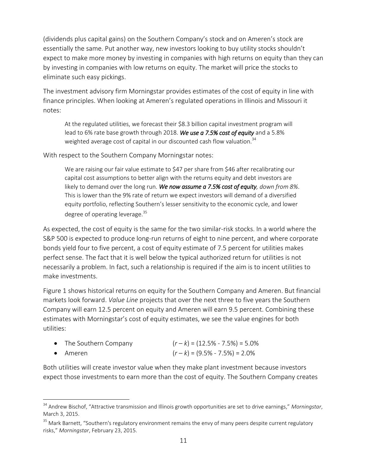(dividends plus capital gains) on the Southern Company's stock and on Ameren's stock are essentially the same. Put another way, new investors looking to buy utility stocks shouldn't expect to make more money by investing in companies with high returns on equity than they can by investing in companies with low returns on equity. The market will price the stocks to eliminate such easy pickings.

The investment advisory firm Morningstar provides estimates of the cost of equity in line with finance principles. When looking at Ameren's regulated operations in Illinois and Missouri it notes:

At the regulated utilities, we forecast their \$8.3 billion capital investment program will lead to 6% rate base growth through 2018. *We use a 7.5% cost of equity* and a 5.8% weighted average cost of capital in our discounted cash flow valuation.<sup>34</sup>

With respect to the Southern Company Morningstar notes:

We are raising our fair value estimate to \$47 per share from \$46 after recalibrating our capital cost assumptions to better align with the returns equity and debt investors are likely to demand over the long run. *We now assume a 7.5% cost of equity, down from 8%*. This is lower than the 9% rate of return we expect investors will demand of a diversified equity portfolio, reflecting Southern's lesser sensitivity to the economic cycle, and lower degree of operating leverage.<sup>35</sup>

As expected, the cost of equity is the same for the two similar-risk stocks. In a world where the S&P 500 is expected to produce long-run returns of eight to nine percent, and where corporate bonds yield four to five percent, a cost of equity estimate of 7.5 percent for utilities makes perfect sense. The fact that it is well below the typical authorized return for utilities is not necessarily a problem. In fact, such a relationship is required if the aim is to incent utilities to make investments.

Figure 1 shows historical returns on equity for the Southern Company and Ameren. But financial markets look forward. *Value Line* projects that over the next three to five years the Southern Company will earn 12.5 percent on equity and Ameren will earn 9.5 percent. Combining these estimates with Morningstar's cost of equity estimates, we see the value engines for both utilities:

| • The Southern Company | $(r-k) = (12.5\% - 7.5\%) = 5.0\%$ |
|------------------------|------------------------------------|
| $\bullet$ Ameren       | $(r-k) = (9.5\% - 7.5\%) = 2.0\%$  |

 $\overline{a}$ 

Both utilities will create investor value when they make plant investment because investors expect those investments to earn more than the cost of equity. The Southern Company creates

<sup>34</sup> Andrew Bischof, "Attractive transmission and Illinois growth opportunities are set to drive earnings," *Morningstar*, March 3, 2015.

<sup>&</sup>lt;sup>35</sup> Mark Barnett, "Southern's regulatory environment remains the envy of many peers despite current regulatory risks," *Morningstar*, February 23, 2015.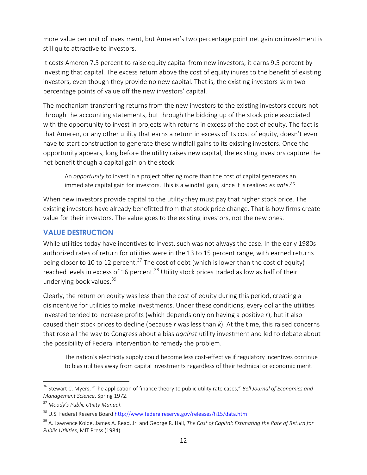more value per unit of investment, but Ameren's two percentage point net gain on investment is still quite attractive to investors.

It costs Ameren 7.5 percent to raise equity capital from new investors; it earns 9.5 percent by investing that capital. The excess return above the cost of equity inures to the benefit of existing investors, even though they provide no new capital. That is, the existing investors skim two percentage points of value off the new investors' capital.

The mechanism transferring returns from the new investors to the existing investors occurs not through the accounting statements, but through the bidding up of the stock price associated with the opportunity to invest in projects with returns in excess of the cost of equity. The fact is that Ameren, or any other utility that earns a return in excess of its cost of equity, doesn't even have to start construction to generate these windfall gains to its existing investors. Once the opportunity appears, long before the utility raises new capital, the existing investors capture the net benefit though a capital gain on the stock.

An *opportunity* to invest in a project offering more than the cost of capital generates an immediate capital gain for investors. This is a windfall gain, since it is realized *ex ante*. 36

When new investors provide capital to the utility they must pay that higher stock price. The existing investors have already benefitted from that stock price change. That is how firms create value for their investors. The value goes to the existing investors, not the new ones.

#### <span id="page-12-0"></span>**VALUE DESTRUCTION**

While utilities today have incentives to invest, such was not always the case. In the early 1980s authorized rates of return for utilities were in the 13 to 15 percent range, with earned returns being closer to 10 to 12 percent.<sup>37</sup> The cost of debt (which is lower than the cost of equity) reached levels in excess of 16 percent.<sup>38</sup> Utility stock prices traded as low as half of their underlying book values.<sup>39</sup>

Clearly, the return on equity was less than the cost of equity during this period, creating a disincentive for utilities to make investments. Under these conditions, every dollar the utilities invested tended to increase profits (which depends only on having a positive *r*), but it also caused their stock prices to decline (because *r* was less than *k*). At the time, this raised concerns that rose all the way to Congress about a bias *against* utility investment and led to debate about the possibility of Federal intervention to remedy the problem.

The nation's electricity supply could become less cost-effective if regulatory incentives continue to bias utilities away from capital investments regardless of their technical or economic merit.

<sup>36</sup> Stewart C. Myers, "The application of finance theory to public utility rate cases," *Bell Journal of Economics and Management Science*, Spring 1972.

<sup>37</sup> *Moody's Public Utility Manual*.

<sup>&</sup>lt;sup>38</sup> U.S. Federal Reserve Board<http://www.federalreserve.gov/releases/h15/data.htm>

<sup>39</sup> A. Lawrence Kolbe, James A. Read, Jr. and George R. Hall, *The Cost of Capital: Estimating the Rate of Return for Public Utilities*, MIT Press (1984).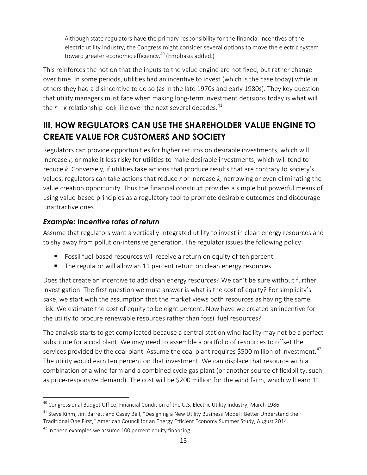Although state regulators have the primary responsibility for the financial incentives of the electric utility industry, the Congress might consider several options to move the electric system toward greater economic efficiency.<sup>40</sup> (Emphasis added.)

This reinforces the notion that the inputs to the value engine are not fixed, but rather change over time. In some periods, utilities had an incentive to invest (which is the case today) while in others they had a disincentive to do so (as in the late 1970s and early 1980s). They key question that utility managers must face when making long-term investment decisions today is what will the  $r - k$  relationship look like over the next several decades.<sup>41</sup>

## <span id="page-13-0"></span>**III. HOW REGULATORS CAN USE THE SHAREHOLDER VALUE ENGINE TO CREATE VALUE FOR CUSTOMERS AND SOCIETY**

Regulators can provide opportunities for higher returns on desirable investments, which will increase *r*, or make it less risky for utilities to make desirable investments, which will tend to reduce *k.* Conversely, if utilities take actions that produce results that are contrary to society's values, regulators can take actions that reduce *r* or increase *k*, narrowing or even eliminating the value creation opportunity. Thus the financial construct provides a simple but powerful means of using value-based principles as a regulatory tool to promote desirable outcomes and discourage unattractive ones.

### *Example: Incentive rates of return*

Assume that regulators want a vertically-integrated utility to invest in clean energy resources and to shy away from pollution-intensive generation. The regulator issues the following policy:

- **Fidem** Fossil fuel-based resources will receive a return on equity of ten percent.
- The regulator will allow an 11 percent return on clean energy resources.

Does that create an incentive to add clean energy resources? We can't be sure without further investigation. The first question we must answer is what is the cost of equity? For simplicity's sake, we start with the assumption that the market views both resources as having the same risk. We estimate the cost of equity to be eight percent. Now have we created an incentive for the utility to procure renewable resources rather than fossil fuel resources?

The analysis starts to get complicated because a central station wind facility may not be a perfect substitute for a coal plant. We may need to assemble a portfolio of resources to offset the services provided by the coal plant. Assume the coal plant requires \$500 million of investment.<sup>42</sup> The utility would earn ten percent on that investment. We can displace that resource with a combination of a wind farm and a combined cycle gas plant (or another source of flexibility, such as price-responsive demand). The cost will be \$200 million for the wind farm, which will earn 11

 $\overline{a}$ <sup>40</sup> Congressional Budget Office, Financial Condition of the U.S. Electric Utility Industry, March 1986.

<sup>&</sup>lt;sup>41</sup> Steve Kihm, Jim Barrett and Casey Bell, "Designing a New Utility Business Model? Better Understand the Traditional One First," American Council for an Energy Efficient Economy Summer Study, August 2014.

 $42$  In these examples we assume 100 percent equity financing.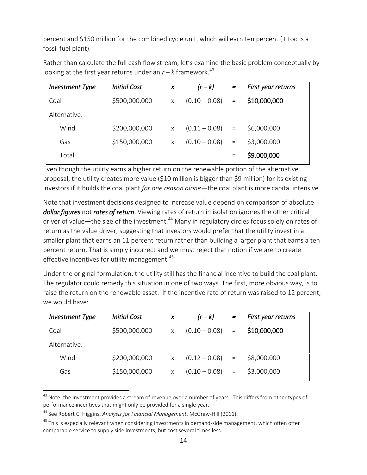percent and \$150 million for the combined cycle unit, which will earn ten percent (it too is a fossil fuel plant).

Rather than calculate the full cash flow stream, let's examine the basic problem conceptually by looking at the first year returns under an  $r - k$  framework.<sup>43</sup>

| <b>Investment Type</b> | <b>Initial Cost</b> | $\underline{x}$ | $(r-k)$         | $=$ | First year returns |
|------------------------|---------------------|-----------------|-----------------|-----|--------------------|
| Coal                   | \$500,000,000       | X               | $(0.10 - 0.08)$ | $=$ | \$10,000,000       |
| Alternative:           |                     |                 |                 |     |                    |
| Wind                   | \$200,000,000       | X               | $(0.11 - 0.08)$ | $=$ | \$6,000,000        |
| Gas                    | \$150,000,000       | X               | $(0.10 - 0.08)$ | $=$ | \$3,000,000        |
| Total                  |                     |                 |                 |     | \$9,000,000        |

Even though the utility earns a higher return on the renewable portion of the alternative proposal, the utility creates more value (\$10 million is bigger than \$9 million) for its existing investors if it builds the coal plant *for one reason alone*—the coal plant is more capital intensive.

Note that investment decisions designed to increase value depend on comparison of absolute *dollar figures* not *rates of return*. Viewing rates of return in isolation ignores the other critical driver of value—the size of the investment.<sup>44</sup> Many in regulatory circles focus solely on rates of return as the value driver, suggesting that investors would prefer that the utility invest in a smaller plant that earns an 11 percent return rather than building a larger plant that earns a ten percent return. That is simply incorrect and we must reject that notion if we are to create effective incentives for utility management.<sup>45</sup>

Under the original formulation, the utility still has the financial incentive to build the coal plant. The regulator could remedy this situation in one of two ways. The first, more obvious way, is to raise the return on the renewable asset. If the incentive rate of return was raised to 12 percent, we would have:

| <b>Investment Type</b> | <b>Initial Cost</b> | X | $(r-k)$         | =   | First year returns |
|------------------------|---------------------|---|-----------------|-----|--------------------|
| Coal                   | \$500,000,000       | X | $(0.10 - 0.08)$ | $=$ | \$10,000,000       |
| Alternative:           |                     |   |                 |     |                    |
| Wind                   | \$200,000,000       | X | $(0.12 - 0.08)$ |     | \$8,000,000        |
| Gas                    | \$150,000,000       | X | $(0.10 - 0.08)$ |     | \$3,000,000        |

 $^{43}$  Note: the investment provides a stream of revenue over a number of years. This differs from other types of performance incentives that might only be provided for a single year.

<sup>44</sup> See Robert C. Higgins, *Analysis for Financial Management*, McGraw-Hill (2011).

 $45$  This is especially relevant when considering investments in demand-side management, which often offer comparable service to supply side investments, but cost several times less.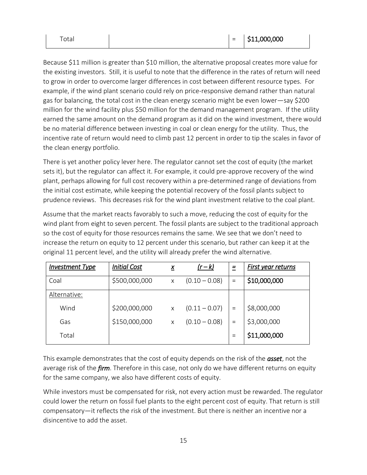Because \$11 million is greater than \$10 million, the alternative proposal creates more value for the existing investors. Still, it is useful to note that the difference in the rates of return will need to grow in order to overcome larger differences in cost between different resource types. For example, if the wind plant scenario could rely on price-responsive demand rather than natural gas for balancing, the total cost in the clean energy scenario might be even lower—say \$200 million for the wind facility plus \$50 million for the demand management program. If the utility earned the same amount on the demand program as it did on the wind investment, there would be no material difference between investing in coal or clean energy for the utility. Thus, the incentive rate of return would need to climb past 12 percent in order to tip the scales in favor of the clean energy portfolio.

There is yet another policy lever here. The regulator cannot set the cost of equity (the market sets it), but the regulator can affect it. For example, it could pre-approve recovery of the wind plant, perhaps allowing for full cost recovery within a pre-determined range of deviations from the initial cost estimate, while keeping the potential recovery of the fossil plants subject to prudence reviews. This decreases risk for the wind plant investment relative to the coal plant.

Assume that the market reacts favorably to such a move, reducing the cost of equity for the wind plant from eight to seven percent. The fossil plants are subject to the traditional approach so the cost of equity for those resources remains the same. We see that we don't need to increase the return on equity to 12 percent under this scenario, but rather can keep it at the original 11 percent level, and the utility will already prefer the wind alternative.

| <b>Investment Type</b> | <b>Initial Cost</b> | $\underline{X}$ | $(r-k)$         | $=$ | <b>First year returns</b> |
|------------------------|---------------------|-----------------|-----------------|-----|---------------------------|
| Coal                   | \$500,000,000       | X               | $(0.10 - 0.08)$ | $=$ | \$10,000,000              |
| Alternative:           |                     |                 |                 |     |                           |
| Wind                   | \$200,000,000       | X               | $(0.11 - 0.07)$ | $=$ | \$8,000,000               |
| Gas                    | \$150,000,000       | X               | $(0.10 - 0.08)$ | $=$ | \$3,000,000               |
| Total                  |                     |                 |                 |     | \$11,000,000              |

This example demonstrates that the cost of equity depends on the risk of the *asset*, not the average risk of the *firm*. Therefore in this case, not only do we have different returns on equity for the same company, we also have different costs of equity.

While investors must be compensated for risk, not every action must be rewarded. The regulator could lower the return on fossil fuel plants to the eight percent cost of equity. That return is still compensatory—it reflects the risk of the investment. But there is neither an incentive nor a disincentive to add the asset.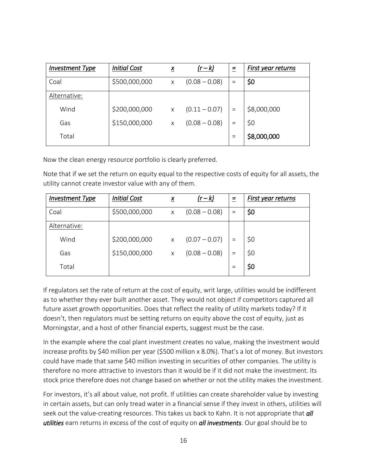| <b>Investment Type</b> | <b>Initial Cost</b> | $\underline{X}$ | $(r-k)$         | $=$ | First year returns |
|------------------------|---------------------|-----------------|-----------------|-----|--------------------|
| Coal                   | \$500,000,000       | X               | $(0.08 - 0.08)$ | $=$ | \$0                |
| Alternative:           |                     |                 |                 |     |                    |
| Wind                   | \$200,000,000       | X               | $(0.11 - 0.07)$ |     | \$8,000,000        |
| Gas                    | \$150,000,000       | X               | $(0.08 - 0.08)$ | $=$ | \$0                |
| Total                  |                     |                 |                 |     | \$8,000,000        |

Now the clean energy resource portfolio is clearly preferred.

Note that if we set the return on equity equal to the respective costs of equity for all assets, the utility cannot create investor value with any of them.

| <b>Investment Type</b> | <b>Initial Cost</b> | $\underline{x}$ | $(r-k)$         | $=$ | First year returns |
|------------------------|---------------------|-----------------|-----------------|-----|--------------------|
| Coal                   | \$500,000,000       | X               | $(0.08 - 0.08)$ | $=$ | \$0                |
| Alternative:           |                     |                 |                 |     |                    |
| Wind                   | \$200,000,000       | $\times$        | $(0.07 - 0.07)$ |     | \$0                |
| Gas                    | \$150,000,000       | $\times$        | $(0.08 - 0.08)$ |     | \$0                |
| Total                  |                     |                 |                 |     | \$0                |

If regulators set the rate of return at the cost of equity, writ large, utilities would be indifferent as to whether they ever built another asset. They would not object if competitors captured all future asset growth opportunities. Does that reflect the reality of utility markets today? If it doesn't, then regulators must be setting returns on equity above the cost of equity, just as Morningstar, and a host of other financial experts, suggest must be the case.

In the example where the coal plant investment creates no value, making the investment would increase profits by \$40 million per year (\$500 million x 8.0%). That's a lot of money. But investors could have made that same \$40 million investing in securities of other companies. The utility is therefore no more attractive to investors than it would be if it did not make the investment. Its stock price therefore does not change based on whether or not the utility makes the investment.

For investors, it's all about value, not profit. If utilities can create shareholder value by investing in certain assets, but can only tread water in a financial sense if they invest in others, utilities will seek out the value-creating resources. This takes us back to Kahn. It is not appropriate that *all utilities* earn returns in excess of the cost of equity on *all investments*. Our goal should be to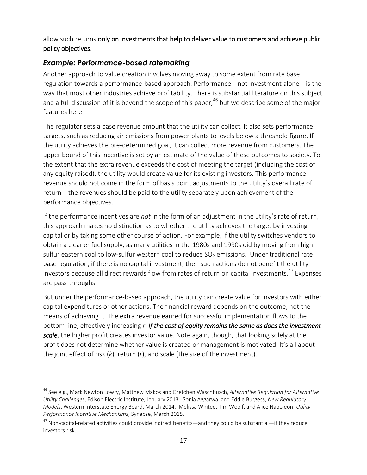allow such returns only on investments that help to deliver value to customers and achieve public policy objectives.

#### *Example: Performance-based ratemaking*

Another approach to value creation involves moving away to some extent from rate base regulation towards a performance-based approach. Performance—not investment alone—is the way that most other industries achieve profitability. There is substantial literature on this subject and a full discussion of it is beyond the scope of this paper, <sup>46</sup> but we describe some of the major features here.

The regulator sets a base revenue amount that the utility can collect. It also sets performance targets, such as reducing air emissions from power plants to levels below a threshold figure. If the utility achieves the pre-determined goal, it can collect more revenue from customers. The upper bound of this incentive is set by an estimate of the value of these outcomes to society. To the extent that the extra revenue exceeds the cost of meeting the target (including the cost of any equity raised), the utility would create value for its existing investors. This performance revenue should not come in the form of basis point adjustments to the utility's overall rate of return – the revenues should be paid to the utility separately upon achievement of the performance objectives.

If the performance incentives are *not* in the form of an adjustment in the utility's rate of return, this approach makes no distinction as to whether the utility achieves the target by investing capital or by taking some other course of action. For example, if the utility switches vendors to obtain a cleaner fuel supply, as many utilities in the 1980s and 1990s did by moving from highsulfur eastern coal to low-sulfur western coal to reduce  $SO<sub>2</sub>$  emissions. Under traditional rate base regulation, if there is no capital investment, then such actions do not benefit the utility investors because all direct rewards flow from rates of return on capital investments. <sup>47</sup> Expenses are pass-throughs.

But under the performance-based approach, the utility can create value for investors with either capital expenditures or other actions. The financial reward depends on the outcome, not the means of achieving it. The extra revenue earned for successful implementation flows to the bottom line, effectively increasing *r*. *If the cost of equity remains the same as does the investment scale*, the higher profit creates investor value. Note again, though, that looking solely at the profit does not determine whether value is created or management is motivated. It's all about the joint effect of risk (*k*), return (*r*), and scale (the size of the investment).

 $\overline{a}$ <sup>46</sup> See e.g., Mark Newton Lowry, Matthew Makos and Gretchen Waschbusch, *Alternative Regulation for Alternative Utility Challenges*, Edison Electric Institute, January 2013. Sonia Aggarwal and Eddie Burgess, *New Regulatory Models*, Western Interstate Energy Board, March 2014. Melissa Whited, Tim Woolf, and Alice Napoleon*, Utility Performance Incentive Mechanisms*, Synapse, March 2015.

 $47$  Non-capital-related activities could provide indirect benefits—and they could be substantial—if they reduce investors risk.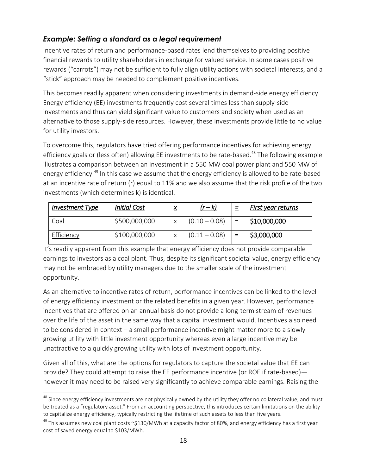### *Example: Setting a standard as a legal requirement*

Incentive rates of return and performance-based rates lend themselves to providing positive financial rewards to utility shareholders in exchange for valued service. In some cases positive rewards ("carrots") may not be sufficient to fully align utility actions with societal interests, and a "stick" approach may be needed to complement positive incentives.

This becomes readily apparent when considering investments in demand-side energy efficiency. Energy efficiency (EE) investments frequently cost several times less than supply-side investments and thus can yield significant value to customers and society when used as an alternative to those supply-side resources. However, these investments provide little to no value for utility investors.

To overcome this, regulators have tried offering performance incentives for achieving energy efficiency goals or (less often) allowing EE investments to be rate-based.<sup>48</sup> The following example illustrates a comparison between an investment in a 550 MW coal power plant and 550 MW of energy efficiency.<sup>49</sup> In this case we assume that the energy efficiency is allowed to be rate-based at an incentive rate of return (r) equal to 11% and we also assume that the risk profile of the two investments (which determines k) is identical.

| <b>Investment Type</b> | <b>Initial Cost</b> | $(r-k)$         | $=$ | First year returns |
|------------------------|---------------------|-----------------|-----|--------------------|
| Coal                   | \$500,000,000       | $(0.10 - 0.08)$ | $=$ | $ $ \$10,000,000   |
| Efficiency             | \$100,000,000       | $(0.11 - 0.08)$ | $=$ | 53,000,000         |

It's readily apparent from this example that energy efficiency does not provide comparable earnings to investors as a coal plant. Thus, despite its significant societal value, energy efficiency may not be embraced by utility managers due to the smaller scale of the investment opportunity.

As an alternative to incentive rates of return, performance incentives can be linked to the level of energy efficiency investment or the related benefits in a given year. However, performance incentives that are offered on an annual basis do not provide a long-term stream of revenues over the life of the asset in the same way that a capital investment would. Incentives also need to be considered in context – a small performance incentive might matter more to a slowly growing utility with little investment opportunity whereas even a large incentive may be unattractive to a quickly growing utility with lots of investment opportunity.

Given all of this, what are the options for regulators to capture the societal value that EE can provide? They could attempt to raise the EE performance incentive (or ROE if rate-based) however it may need to be raised very significantly to achieve comparable earnings. Raising the

<sup>&</sup>lt;sup>48</sup> Since energy efficiency investments are not physically owned by the utility they offer no collateral value, and must be treated as a "regulatory asset." From an accounting perspective, this introduces certain limitations on the ability to capitalize energy efficiency, typically restricting the lifetime of such assets to less than five years.

 $49$  This assumes new coal plant costs ~\$130/MWh at a capacity factor of 80%, and energy efficiency has a first year cost of saved energy equal to \$103/MWh.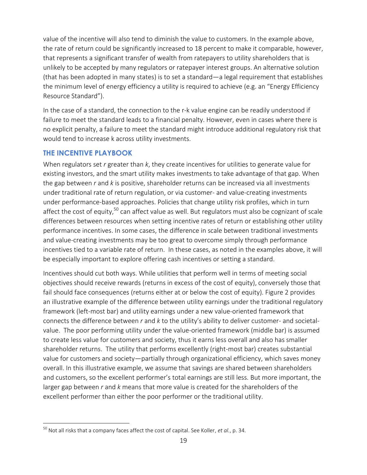value of the incentive will also tend to diminish the value to customers. In the example above, the rate of return could be significantly increased to 18 percent to make it comparable, however, that represents a significant transfer of wealth from ratepayers to utility shareholders that is unlikely to be accepted by many regulators or ratepayer interest groups. An alternative solution (that has been adopted in many states) is to set a standard—a legal requirement that establishes the minimum level of energy efficiency a utility is required to achieve (e.g. an "Energy Efficiency Resource Standard").

In the case of a standard, the connection to the r-k value engine can be readily understood if failure to meet the standard leads to a financial penalty. However, even in cases where there is no explicit penalty, a failure to meet the standard might introduce additional regulatory risk that would tend to increase k across utility investments.

#### <span id="page-19-0"></span>**THE INCENTIVE PLAYBOOK**

When regulators set *r* greater than *k*, they create incentives for utilities to generate value for existing investors, and the smart utility makes investments to take advantage of that gap. When the gap between *r* and *k* is positive, shareholder returns can be increased via all investments under traditional rate of return regulation, or via customer- and value-creating investments under performance-based approaches. Policies that change utility risk profiles, which in turn affect the cost of equity,<sup>50</sup> can affect value as well. But regulators must also be cognizant of scale differences between resources when setting incentive rates of return or establishing other utility performance incentives. In some cases, the difference in scale between traditional investments and value-creating investments may be too great to overcome simply through performance incentives tied to a variable rate of return. In these cases, as noted in the examples above, it will be especially important to explore offering cash incentives or setting a standard.

Incentives should cut both ways. While utilities that perform well in terms of meeting social objectives should receive rewards (returns in excess of the cost of equity), conversely those that fail should face consequences (returns either at or below the cost of equity). Figure 2 provides an illustrative example of the difference between utility earnings under the traditional regulatory framework (left-most bar) and utility earnings under a new value-oriented framework that connects the difference between *r* and *k* to the utility's ability to deliver customer- and societalvalue. The poor performing utility under the value-oriented framework (middle bar) is assumed to create less value for customers and society, thus it earns less overall and also has smaller shareholder returns. The utility that performs excellently (right-most bar) creates substantial value for customers and society—partially through organizational efficiency, which saves money overall. In this illustrative example, we assume that savings are shared between shareholders and customers, so the excellent performer's total earnings are still less. But more important, the larger gap between *r* and *k* means that more value is created for the shareholders of the excellent performer than either the poor performer or the traditional utility.

 $\overline{a}$ <sup>50</sup> Not all risks that a company faces affect the cost of capital. See Koller, *et al.*, p. 34.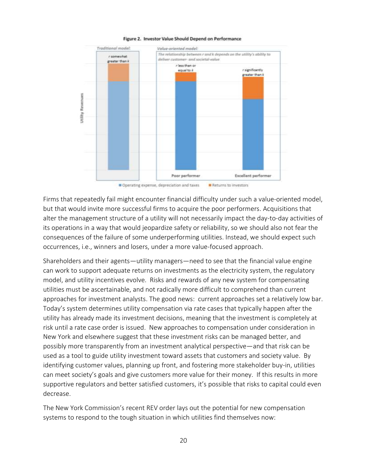

#### Figure 2. Investor Value Should Depend on Performance

Firms that repeatedly fail might encounter financial difficulty under such a value-oriented model, but that would invite more successful firms to acquire the poor performers. Acquisitions that alter the management structure of a utility will not necessarily impact the day-to-day activities of its operations in a way that would jeopardize safety or reliability, so we should also not fear the consequences of the failure of some underperforming utilities. Instead, we should expect such occurrences, i.e., winners and losers, under a more value-focused approach.

Shareholders and their agents—utility managers—need to see that the financial value engine can work to support adequate returns on investments as the electricity system, the regulatory model, and utility incentives evolve. Risks and rewards of any new system for compensating utilities must be ascertainable, and not radically more difficult to comprehend than current approaches for investment analysts. The good news: current approaches set a relatively low bar. Today's system determines utility compensation via rate cases that typically happen after the utility has already made its investment decisions, meaning that the investment is completely at risk until a rate case order is issued. New approaches to compensation under consideration in New York and elsewhere suggest that these investment risks can be managed better, and possibly more transparently from an investment analytical perspective—and that risk can be used as a tool to guide utility investment toward assets that customers and society value. By identifying customer values, planning up front, and fostering more stakeholder buy-in, utilities can meet society's goals and give customers more value for their money. If this results in more supportive regulators and better satisfied customers, it's possible that risks to capital could even decrease.

The New York Commission's recent REV order lays out the potential for new compensation systems to respond to the tough situation in which utilities find themselves now: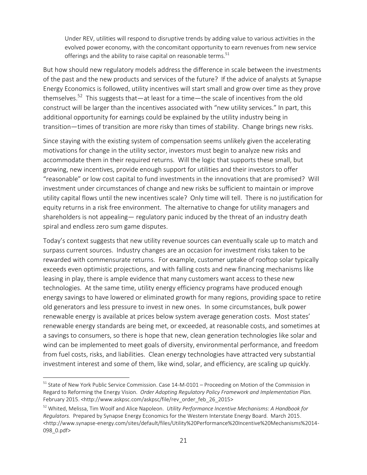Under REV, utilities will respond to disruptive trends by adding value to various activities in the evolved power economy, with the concomitant opportunity to earn revenues from new service offerings and the ability to raise capital on reasonable terms.  $51$ 

But how should new regulatory models address the difference in scale between the investments of the past and the new products and services of the future? If the advice of analysts at Synapse Energy Economics is followed, utility incentives will start small and grow over time as they prove themselves.<sup>52</sup> This suggests that—at least for a time—the scale of incentives from the old construct will be larger than the incentives associated with "new utility services." In part, this additional opportunity for earnings could be explained by the utility industry being in transition—times of transition are more risky than times of stability. Change brings new risks.

Since staying with the existing system of compensation seems unlikely given the accelerating motivations for change in the utility sector, investors must begin to analyze new risks and accommodate them in their required returns. Will the logic that supports these small, but growing, new incentives, provide enough support for utilities and their investors to offer "reasonable" or low cost capital to fund investments in the innovations that are promised? Will investment under circumstances of change and new risks be sufficient to maintain or improve utility capital flows until the new incentives scale? Only time will tell. There is no justification for equity returns in a risk free environment. The alternative to change for utility managers and shareholders is not appealing— regulatory panic induced by the threat of an industry death spiral and endless zero sum game disputes.

Today's context suggests that new utility revenue sources can eventually scale up to match and surpass current sources. Industry changes are an occasion for investment risks taken to be rewarded with commensurate returns. For example, customer uptake of rooftop solar typically exceeds even optimistic projections, and with falling costs and new financing mechanisms like leasing in play, there is ample evidence that many customers want access to these new technologies. At the same time, utility energy efficiency programs have produced enough energy savings to have lowered or eliminated growth for many regions, providing space to retire old generators and less pressure to invest in new ones. In some circumstances, bulk power renewable energy is available at prices below system average generation costs. Most states' renewable energy standards are being met, or exceeded, at reasonable costs, and sometimes at a savings to consumers, so there is hope that new, clean generation technologies like solar and wind can be implemented to meet goals of diversity, environmental performance, and freedom from fuel costs, risks, and liabilities. Clean energy technologies have attracted very substantial investment interest and some of them, like wind, solar, and efficiency, are scaling up quickly.

<sup>&</sup>lt;sup>51</sup> State of New York Public Service Commission. Case 14-M-0101 – Proceeding on Motion of the Commission in Regard to Reforming the Energy Vision. *Order Adopting Regulatory Policy Framework and Implementation Plan.* February 2015. <http://www.askpsc.com/askpsc/file/rev\_order\_feb\_26\_2015>

<sup>52</sup> Whited, Melissa, Tim Woolf and Alice Napoleon. *Utility Performance Incentive Mechanisms: A Handbook for Regulators.* Prepared by Synapse Energy Economics for the Western Interstate Energy Board. March 2015. <http://www.synapse-energy.com/sites/default/files/Utility%20Performance%20Incentive%20Mechanisms%2014- 098\_0.pdf>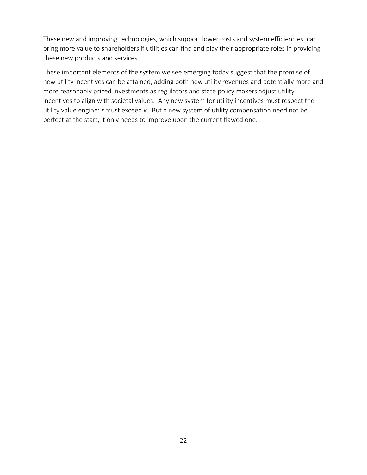These new and improving technologies, which support lower costs and system efficiencies, can bring more value to shareholders if utilities can find and play their appropriate roles in providing these new products and services.

<span id="page-22-0"></span>These important elements of the system we see emerging today suggest that the promise of new utility incentives can be attained, adding both new utility revenues and potentially more and more reasonably priced investments as regulators and state policy makers adjust utility incentives to align with societal values. Any new system for utility incentives must respect the utility value engine: *r* must exceed *k*. But a new system of utility compensation need not be perfect at the start, it only needs to improve upon the current flawed one.